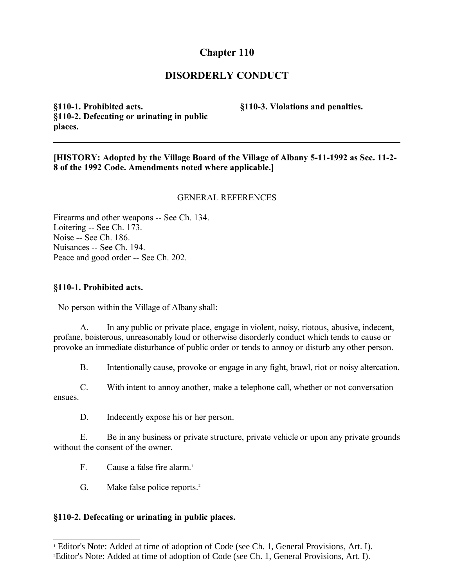# **Chapter 110**

## **DISORDERLY CONDUCT**

**§110-1. Prohibited acts. §110-2. Defecating or urinating in public places.**

**§110-3. Violations and penalties.**

**[HISTORY: Adopted by the Village Board of the Village of Albany 5-11-1992 as Sec. 11-2- 8 of the 1992 Code. Amendments noted where applicable.]**

#### GENERAL REFERENCES

Firearms and other weapons -- See Ch. 134. Loitering -- See Ch. 173. Noise -- See Ch. 186. Nuisances -- See Ch. 194. Peace and good order -- See Ch. 202.

#### **§110-1. Prohibited acts.**

No person within the Village of Albany shall:

A. In any public or private place, engage in violent, noisy, riotous, abusive, indecent, profane, boisterous, unreasonably loud or otherwise disorderly conduct which tends to cause or provoke an immediate disturbance of public order or tends to annoy or disturb any other person.

B. Intentionally cause, provoke or engage in any fight, brawl, riot or noisy altercation.

C. With intent to annoy another, make a telephone call, whether or not conversation ensues.

D. Indecently expose his or her person.

E. Be in any business or private structure, private vehicle or upon any private grounds without the consent of the owner.

F. Cause a false fire alarm  $<sup>1</sup>$  $<sup>1</sup>$  $<sup>1</sup>$ </sup>

G. Make false police reports.<sup>[2](#page-0-1)</sup>

### **§110-2. Defecating or urinating in public places.**

<span id="page-0-1"></span><span id="page-0-0"></span><sup>&</sup>lt;sup>1</sup> Editor's Note: Added at time of adoption of Code (see Ch. 1, General Provisions, Art. I). 2Editor's Note: Added at time of adoption of Code (see Ch. 1, General Provisions, Art. I).